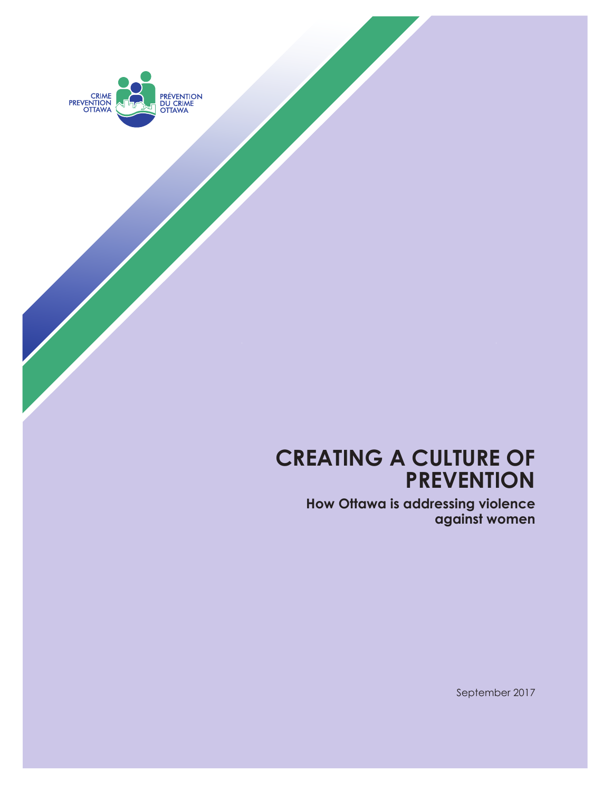

# **Creating a culture of prevention**

**How Ottawa is addressing violence against women**

September 2017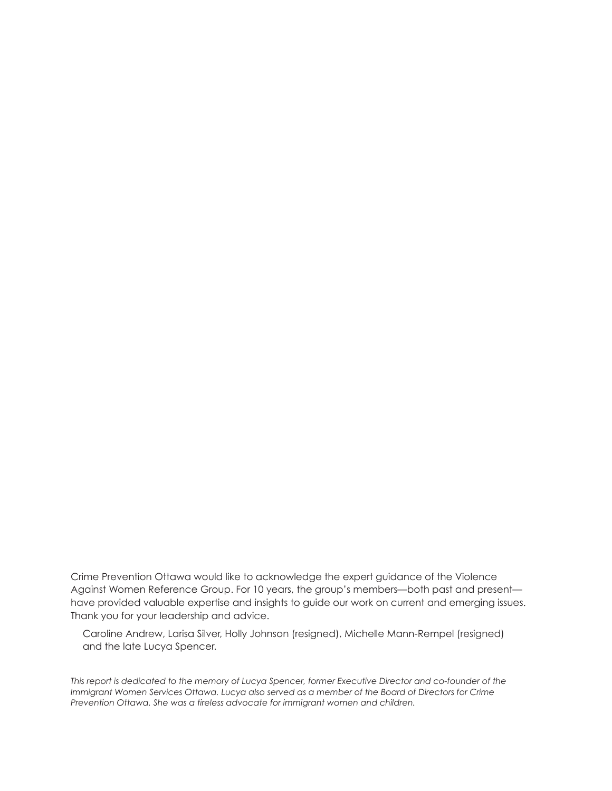Crime Prevention Ottawa would like to acknowledge the expert guidance of the Violence Against Women Reference Group. For 10 years, the group's members—both past and present have provided valuable expertise and insights to guide our work on current and emerging issues. Thank you for your leadership and advice.

Caroline Andrew, Larisa Silver, Holly Johnson (resigned), Michelle Mann-Rempel (resigned) and the late Lucya Spencer.

*This report is dedicated to the memory of Lucya Spencer, former Executive Director and co-founder of the Immigrant Women Services Ottawa. Lucya also served as a member of the Board of Directors for Crime Prevention Ottawa. She was a tireless advocate for immigrant women and children.*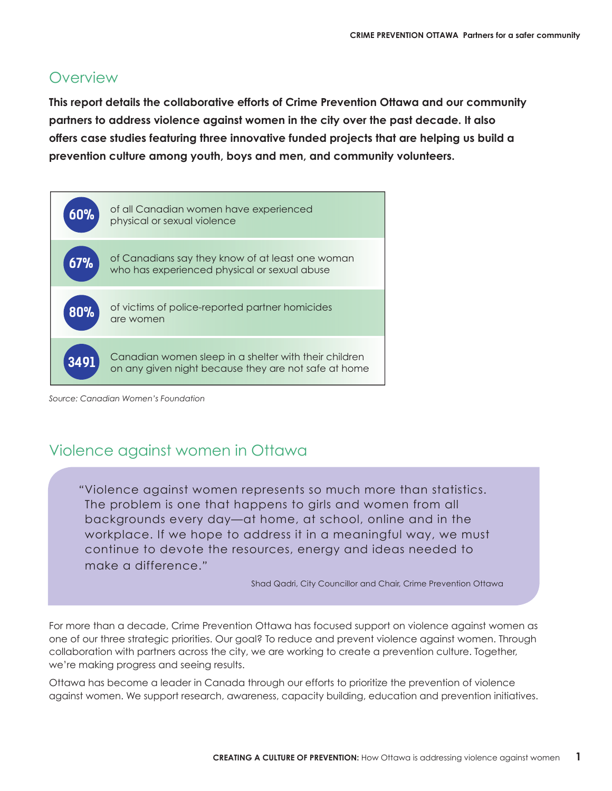### **Overview**

**this report details the collaborative efforts of Crime prevention ottawa and our community partners to address violence against women in the city over the past decade. it also offers case studies featuring three innovative funded projects that are helping us build a prevention culture among youth, boys and men, and community volunteers.**



*Source: Canadian Women's Foundation*

#### Violence against women in Ottawa

"Violence against women represents so much more than statistics. The problem is one that happens to girls and women from all backgrounds every day—at home, at school, online and in the workplace. If we hope to address it in a meaningful way, we must continue to devote the resources, energy and ideas needed to make a difference."

Shad Qadri, City Councillor and Chair, Crime Prevention Ottawa

For more than a decade, Crime Prevention Ottawa has focused support on violence against women as one of our three strategic priorities. Our goal? To reduce and prevent violence against women. Through collaboration with partners across the city, we are working to create a prevention culture. Together, we're making progress and seeing results.

Ottawa has become a leader in Canada through our efforts to prioritize the prevention of violence against women. We support research, awareness, capacity building, education and prevention initiatives.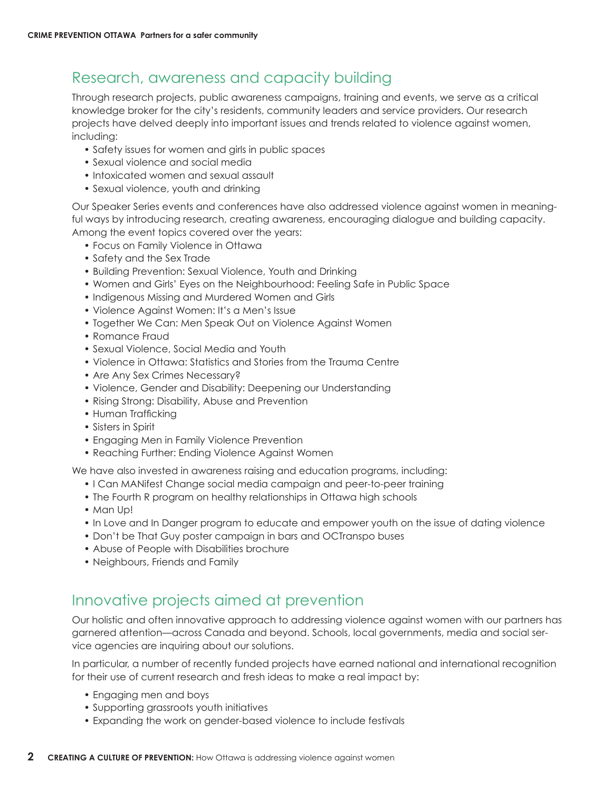### Research, awareness and capacity building

Through research projects, public awareness campaigns, training and events, we serve as a critical knowledge broker for the city's residents, community leaders and service providers. Our research projects have delved deeply into important issues and trends related to violence against women, including:

- Safety issues for women and girls in public spaces
- Sexual violence and social media
- Intoxicated women and sexual assault
- Sexual violence, youth and drinking

Our Speaker Series events and conferences have also addressed violence against women in meaningful ways by introducing research, creating awareness, encouraging dialogue and building capacity. Among the event topics covered over the years:

- Focus on Family Violence in Ottawa
- Safety and the Sex Trade
- Building Prevention: Sexual Violence, Youth and Drinking
- • Women and Girls' Eyes on the Neighbourhood: Feeling Safe in Public Space
- Indigenous Missing and Murdered Women and Girls
- Violence Against Women: It's a Men's Issue
- Together We Can: Men Speak Out on Violence Against Women
- • Romance Fraud
- Sexual Violence, Social Media and Youth
- Violence in Ottawa: Statistics and Stories from the Trauma Centre
- Are Any Sex Crimes Necessary?
- Violence, Gender and Disability: Deepening our Understanding
- Rising Strong: Disability, Abuse and Prevention
- Human Trafficking
- Sisters in Spirit
- Engaging Men in Family Violence Prevention
- Reaching Further: Ending Violence Against Women

We have also invested in awareness raising and education programs, including:

- I Can MANifest Change social media campaign and peer-to-peer training
- The Fourth R program on healthy relationships in Ottawa high schools
- Man Up!
- In Love and In Danger program to educate and empower youth on the issue of dating violence
- Don't be That Guy poster campaign in bars and OCTranspo buses
- Abuse of People with Disabilities brochure
- Neighbours, Friends and Family

## Innovative projects aimed at prevention

Our holistic and often innovative approach to addressing violence against women with our partners has garnered attention—across Canada and beyond. Schools, local governments, media and social service agencies are inquiring about our solutions.

In particular, a number of recently funded projects have earned national and international recognition for their use of current research and fresh ideas to make a real impact by:

- Engaging men and boys
- • Supporting grassroots youth initiatives
- Expanding the work on gender-based violence to include festivals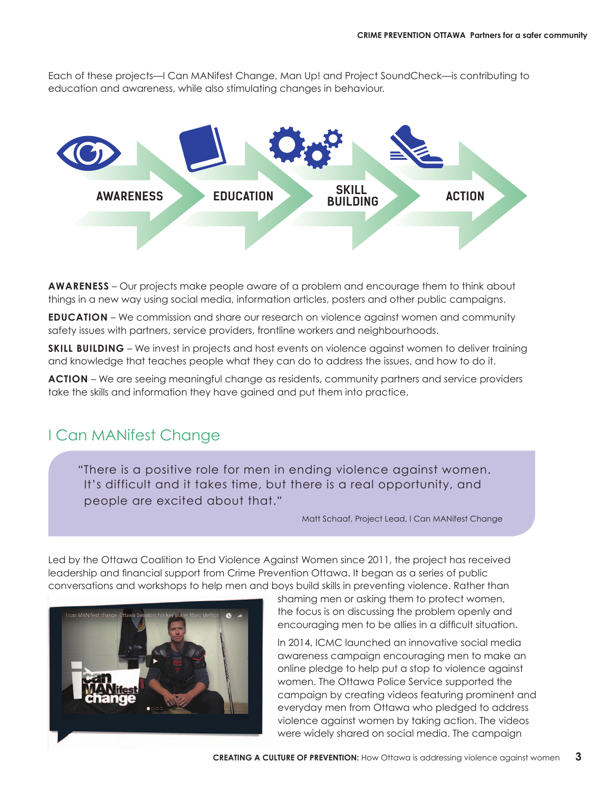Each of these projects—I Can MANifest Change, Man Up! and Project SoundCheck—is contributing to education and awareness, while also stimulating changes in behaviour.



**AWARENESS** – Our projects make people aware of a problem and encourage them to think about things in a new way using social media, information articles, posters and other public campaigns.

**EDUCATION** – We commission and share our research on violence against women and community safety issues with partners, service providers, frontline workers and neighbourhoods.

**SKILL BUILDING** – We invest in projects and host events on violence against women to deliver training and knowledge that teaches people what they can do to address the issues, and how to do it.

**aCtion** – We are seeing meaningful change as residents, community partners and service providers take the skills and information they have gained and put them into practice.

#### I Can MANifest Change

"There is a positive role for men in ending violence against women. It's difficult and it takes time, but there is a real opportunity, and people are excited about that."

Matt Schaaf, Project Lead, I Can MANifest Change

Led by the Ottawa Coalition to End Violence Against Women since 2011, the project has received leadership and financial support from Crime Prevention Ottawa. It began as a series of public conversations and workshops to help men and boys build skills in preventing violence. Rather than



shaming men or asking them to protect women, the focus is on discussing the problem openly and encouraging men to be allies in a difficult situation.

In 2014, ICMC launched an innovative social media awareness campaign encouraging men to make an online pledge to help put a stop to violence against women. The Ottawa Police Service supported the campaign by creating videos featuring prominent and everyday men from Ottawa who pledged to address violence against women by taking action. The videos were widely shared on social media. The campaign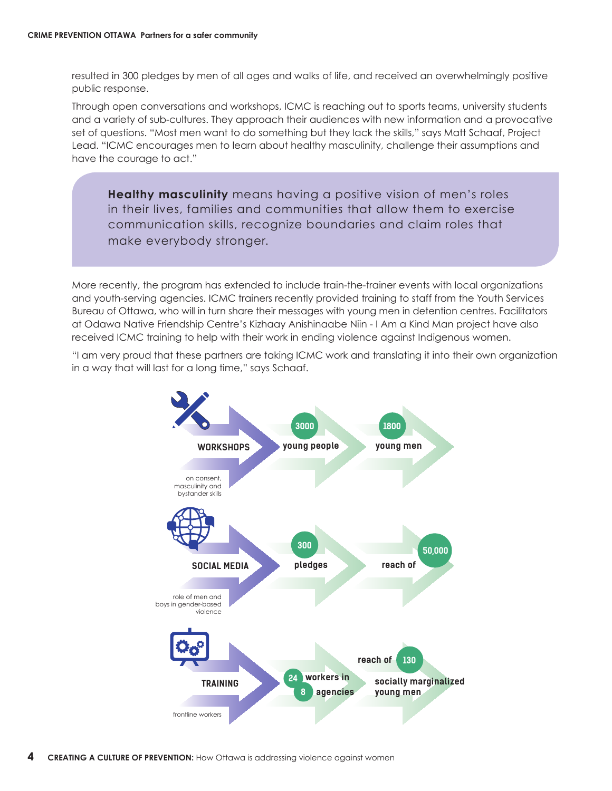resulted in 300 pledges by men of all ages and walks of life, and received an overwhelmingly positive public response.

Through open conversations and workshops, ICMC is reaching out to sports teams, university students and a variety of sub-cultures. They approach their audiences with new information and a provocative set of questions. "Most men want to do something but they lack the skills," says Matt Schaaf, Project Lead. "ICMC encourages men to learn about healthy masculinity, challenge their assumptions and have the courage to act."

**Healthy masculinity** means having a positive vision of men's roles in their lives, families and communities that allow them to exercise communication skills, recognize boundaries and claim roles that make everybody stronger.

More recently, the program has extended to include train-the-trainer events with local organizations and youth-serving agencies. ICMC trainers recently provided training to staff from the Youth Services Bureau of Ottawa, who will in turn share their messages with young men in detention centres. Facilitators at Odawa Native Friendship Centre's Kizhaay Anishinaabe Niin - I Am a Kind Man project have also received ICMC training to help with their work in ending violence against Indigenous women.

"I am very proud that these partners are taking ICMC work and translating it into their own organization in a way that will last for a long time," says Schaaf.

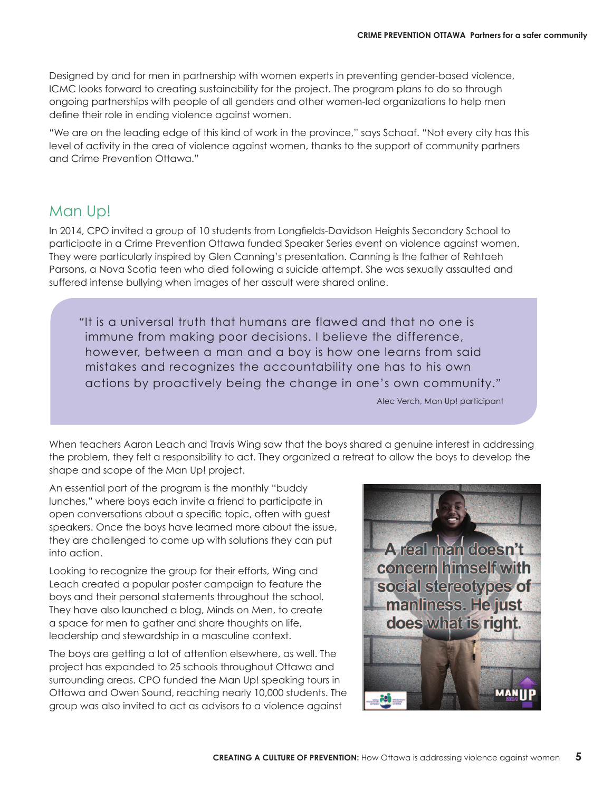Designed by and for men in partnership with women experts in preventing gender-based violence, ICMC looks forward to creating sustainability for the project. The program plans to do so through ongoing partnerships with people of all genders and other women-led organizations to help men define their role in ending violence against women.

"We are on the leading edge of this kind of work in the province," says Schaaf. "Not every city has this level of activity in the area of violence against women, thanks to the support of community partners and Crime Prevention Ottawa."

#### Man Up!

In 2014, CPO invited a group of 10 students from Longfields-Davidson Heights Secondary School to participate in a Crime Prevention Ottawa funded Speaker Series event on violence against women. They were particularly inspired by Glen Canning's presentation. Canning is the father of Rehtaeh Parsons, a Nova Scotia teen who died following a suicide attempt. She was sexually assaulted and suffered intense bullying when images of her assault were shared online.

"It is a universal truth that humans are flawed and that no one is immune from making poor decisions. I believe the difference, however, between a man and a boy is how one learns from said mistakes and recognizes the accountability one has to his own actions by proactively being the change in one's own community."

Alec Verch, Man Up! participant

When teachers Aaron Leach and Travis Wing saw that the boys shared a genuine interest in addressing the problem, they felt a responsibility to act. They organized a retreat to allow the boys to develop the shape and scope of the Man Up! project.

An essential part of the program is the monthly "buddy lunches," where boys each invite a friend to participate in open conversations about a specific topic, often with guest speakers. Once the boys have learned more about the issue, they are challenged to come up with solutions they can put into action.

Looking to recognize the group for their efforts, Wing and Leach created a popular poster campaign to feature the boys and their personal statements throughout the school. They have also launched a blog, Minds on Men, to create a space for men to gather and share thoughts on life, leadership and stewardship in a masculine context.

The boys are getting a lot of attention elsewhere, as well. The project has expanded to 25 schools throughout Ottawa and surrounding areas. CPO funded the Man Up! speaking tours in Ottawa and Owen Sound, reaching nearly 10,000 students. The group was also invited to act as advisors to a violence against

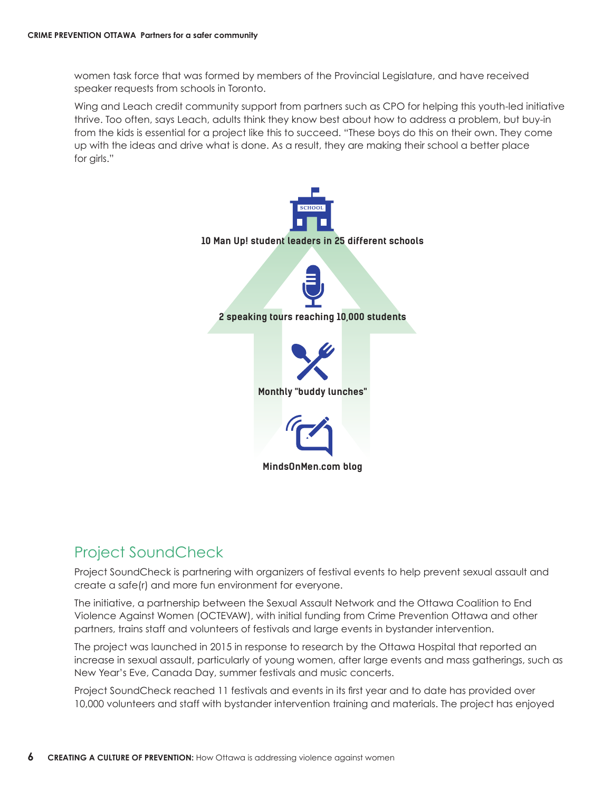women task force that was formed by members of the Provincial Legislature, and have received speaker requests from schools in Toronto.

Wing and Leach credit community support from partners such as CPO for helping this youth-led initiative thrive. Too often, says Leach, adults think they know best about how to address a problem, but buy-in from the kids is essential for a project like this to succeed. "These boys do this on their own. They come up with the ideas and drive what is done. As a result, they are making their school a better place for girls."



#### Project SoundCheck

Project SoundCheck is partnering with organizers of festival events to help prevent sexual assault and create a safe(r) and more fun environment for everyone.

The initiative, a partnership between the Sexual Assault Network and the Ottawa Coalition to End Violence Against Women (OCTEVAW), with initial funding from Crime Prevention Ottawa and other partners, trains staff and volunteers of festivals and large events in bystander intervention.

The project was launched in 2015 in response to research by the Ottawa Hospital that reported an increase in sexual assault, particularly of young women, after large events and mass gatherings, such as New Year's Eve, Canada Day, summer festivals and music concerts.

Project SoundCheck reached 11 festivals and events in its first year and to date has provided over 10,000 volunteers and staff with bystander intervention training and materials. The project has enjoyed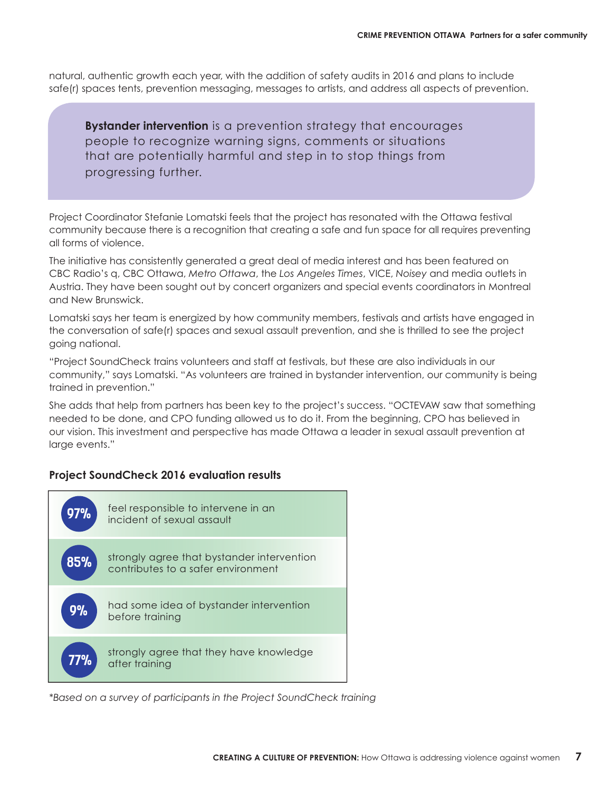natural, authentic growth each year, with the addition of safety audits in 2016 and plans to include safe(r) spaces tents, prevention messaging, messages to artists, and address all aspects of prevention.

**Bystander intervention** is a prevention strategy that encourages people to recognize warning signs, comments or situations that are potentially harmful and step in to stop things from progressing further.

Project Coordinator Stefanie Lomatski feels that the project has resonated with the Ottawa festival community because there is a recognition that creating a safe and fun space for all requires preventing all forms of violence.

The initiative has consistently generated a great deal of media interest and has been featured on CBC Radio's q, CBC Ottawa, *Metro Ottawa*, the *Los Angeles Times*, VICE, *Noisey* and media outlets in Austria. They have been sought out by concert organizers and special events coordinators in Montreal and New Brunswick.

Lomatski says her team is energized by how community members, festivals and artists have engaged in the conversation of safe(r) spaces and sexual assault prevention, and she is thrilled to see the project going national.

"Project SoundCheck trains volunteers and staff at festivals, but these are also individuals in our community," says Lomatski. "As volunteers are trained in bystander intervention, our community is being trained in prevention."

She adds that help from partners has been key to the project's success. "OCTEVAW saw that something needed to be done, and CPO funding allowed us to do it. From the beginning, CPO has believed in our vision. This investment and perspective has made Ottawa a leader in sexual assault prevention at large events."

#### **project SoundCheck 2016 evaluation results**



*\*Based on a survey of participants in the Project SoundCheck training*